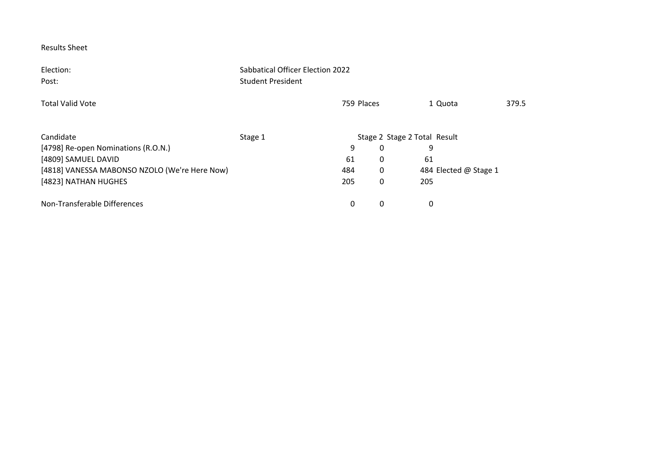Election: Sabbatical Officer Election 2022 Post: Student President Total Valid Vote 759 Places 1 Quota 379.5 Candidate **Stage 1** Stage 1 Stage 2 Stage 2 Stage 2 Total Result [4798] Re‐open Nominations (R.O.N.) 9 0 9 [4809] SAMUEL DAVID 61 0 61 [4818] VANESSA MABONSO NZOLO (We're Here Now)  $\begin{array}{cccc} 484 & 0 & 484 \end{array}$  484 Elected @ Stage 1 [4823] NATHAN HUGHES 205 0 205 Non‐Transferable Differences 0 0 0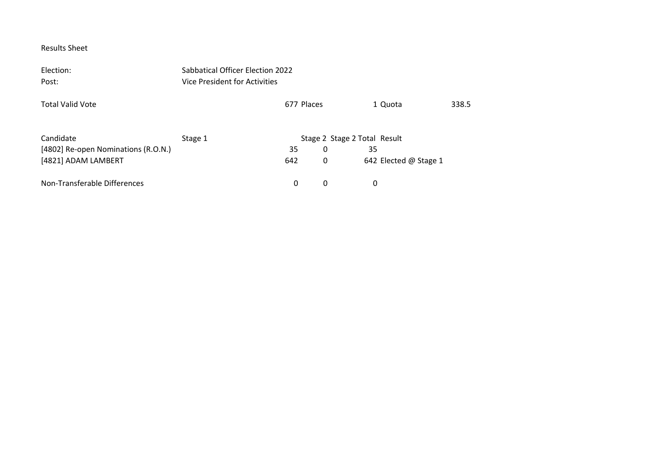| Election:                           | Sabbatical Officer Election 2022     |            |                              |                       |       |  |  |
|-------------------------------------|--------------------------------------|------------|------------------------------|-----------------------|-------|--|--|
| Post:                               | <b>Vice President for Activities</b> |            |                              |                       |       |  |  |
| Total Valid Vote                    |                                      | 677 Places |                              | 1 Quota               | 338.5 |  |  |
| Candidate                           | Stage 1                              |            | Stage 2 Stage 2 Total Result |                       |       |  |  |
| [4802] Re-open Nominations (R.O.N.) |                                      | 35         | 0                            | 35                    |       |  |  |
| [4821] ADAM LAMBERT                 |                                      | 642        | 0                            | 642 Elected @ Stage 1 |       |  |  |
| Non-Transferable Differences        |                                      | 0          | 0                            | 0                     |       |  |  |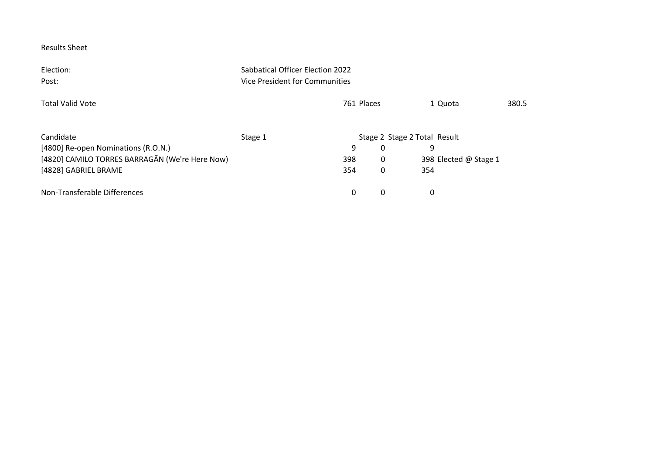| Election:<br>Post:                             | Sabbatical Officer Election 2022<br>Vice President for Communities |                              |                   |                       |       |
|------------------------------------------------|--------------------------------------------------------------------|------------------------------|-------------------|-----------------------|-------|
| <b>Total Valid Vote</b>                        |                                                                    | 761 Places                   |                   | 1 Quota               | 380.5 |
| Candidate                                      | Stage 1                                                            | Stage 2 Stage 2 Total Result |                   |                       |       |
| [4800] Re-open Nominations (R.O.N.)            |                                                                    | 9                            | 9<br>$\mathbf{0}$ |                       |       |
| [4820] CAMILO TORRES BARRAGÃN (We're Here Now) | 398                                                                |                              | 0                 | 398 Elected @ Stage 1 |       |
| [4828] GABRIEL BRAME                           | 354                                                                |                              | 0<br>354          |                       |       |
| Non-Transferable Differences                   |                                                                    | 0                            | 0<br>0            |                       |       |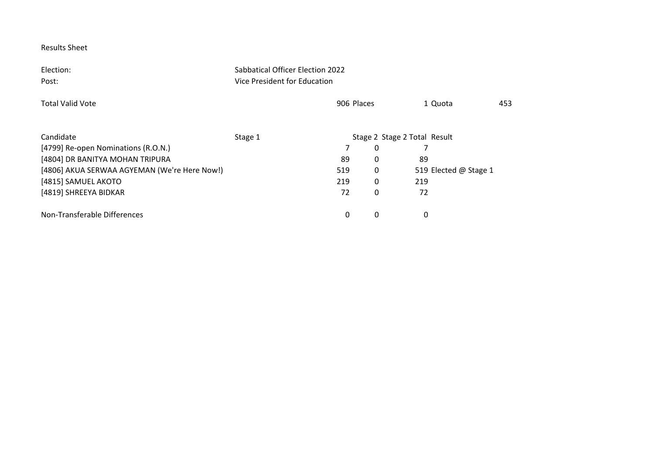Election: Sabbatical Officer Election 2022 Post: ViceVice President for Education Total Validd Vote 1 Quota 1 Quota 453 Candidate **Stage 1** Stage 1 Candidate Stage 2 Stage 2 Total Result [4799] Re-open Nominations (R.O.N.) 7 0 7 7 [4804] DR BANITYA MOHAN TRIPURA 89 0 89 [4806] AKUA SERWAA AGYEMAN (We're Here Now!) 519 519 0 519 Elected @ Stage 1 [4815] SAMUEL AKOTO 219 0 219 [4819] SHREEYA BIDKAR 72 0 72 Non‐Transferable Differences 0 0 0